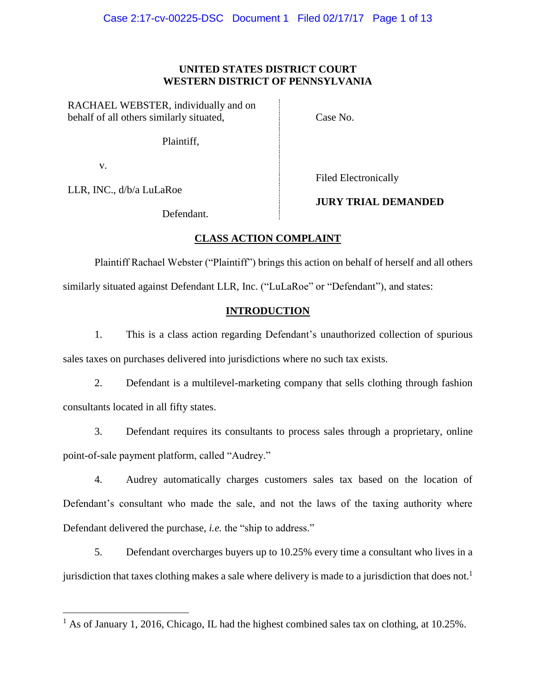# **UNITED STATES DISTRICT COURT WESTERN DISTRICT OF PENNSYLVANIA**

RACHAEL WEBSTER, individually and on behalf of all others similarly situated,

Case No.

Plaintiff,

v.

 $\overline{a}$ 

LLR, INC., d/b/a LuLaRoe

Filed Electronically

Defendant.

# **JURY TRIAL DEMANDED**

# **CLASS ACTION COMPLAINT**

Plaintiff Rachael Webster ("Plaintiff") brings this action on behalf of herself and all others similarly situated against Defendant LLR, Inc. ("LuLaRoe" or "Defendant"), and states:

# **INTRODUCTION**

1. This is a class action regarding Defendant's unauthorized collection of spurious sales taxes on purchases delivered into jurisdictions where no such tax exists.

2. Defendant is a multilevel-marketing company that sells clothing through fashion consultants located in all fifty states.

3. Defendant requires its consultants to process sales through a proprietary, online point-of-sale payment platform, called "Audrey."

4. Audrey automatically charges customers sales tax based on the location of Defendant's consultant who made the sale, and not the laws of the taxing authority where Defendant delivered the purchase, *i.e.* the "ship to address."

5. Defendant overcharges buyers up to 10.25% every time a consultant who lives in a jurisdiction that taxes clothing makes a sale where delivery is made to a jurisdiction that does not.<sup>1</sup>

 $<sup>1</sup>$  As of January 1, 2016, Chicago, IL had the highest combined sales tax on clothing, at 10.25%.</sup>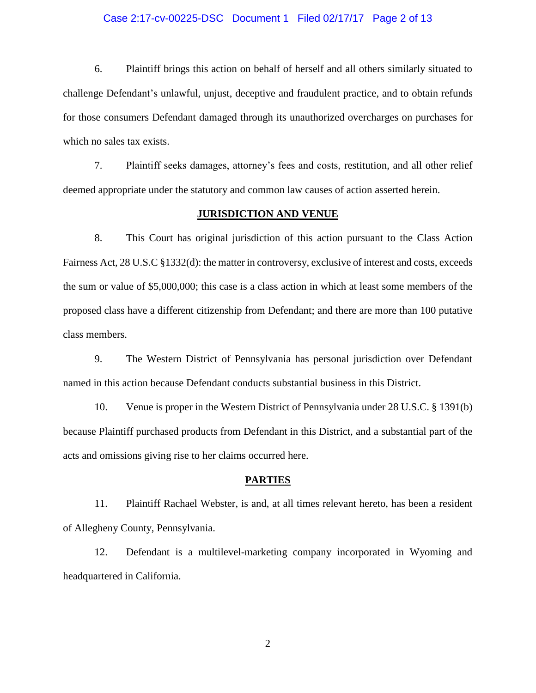#### Case 2:17-cv-00225-DSC Document 1 Filed 02/17/17 Page 2 of 13

6. Plaintiff brings this action on behalf of herself and all others similarly situated to challenge Defendant's unlawful, unjust, deceptive and fraudulent practice, and to obtain refunds for those consumers Defendant damaged through its unauthorized overcharges on purchases for which no sales tax exists.

7. Plaintiff seeks damages, attorney's fees and costs, restitution, and all other relief deemed appropriate under the statutory and common law causes of action asserted herein.

#### **JURISDICTION AND VENUE**

8. This Court has original jurisdiction of this action pursuant to the Class Action Fairness Act, 28 U.S.C §1332(d): the matter in controversy, exclusive of interest and costs, exceeds the sum or value of \$5,000,000; this case is a class action in which at least some members of the proposed class have a different citizenship from Defendant; and there are more than 100 putative class members.

9. The Western District of Pennsylvania has personal jurisdiction over Defendant named in this action because Defendant conducts substantial business in this District.

10. Venue is proper in the Western District of Pennsylvania under 28 U.S.C. § 1391(b) because Plaintiff purchased products from Defendant in this District, and a substantial part of the acts and omissions giving rise to her claims occurred here.

#### **PARTIES**

11. Plaintiff Rachael Webster, is and, at all times relevant hereto, has been a resident of Allegheny County, Pennsylvania.

12. Defendant is a multilevel-marketing company incorporated in Wyoming and headquartered in California.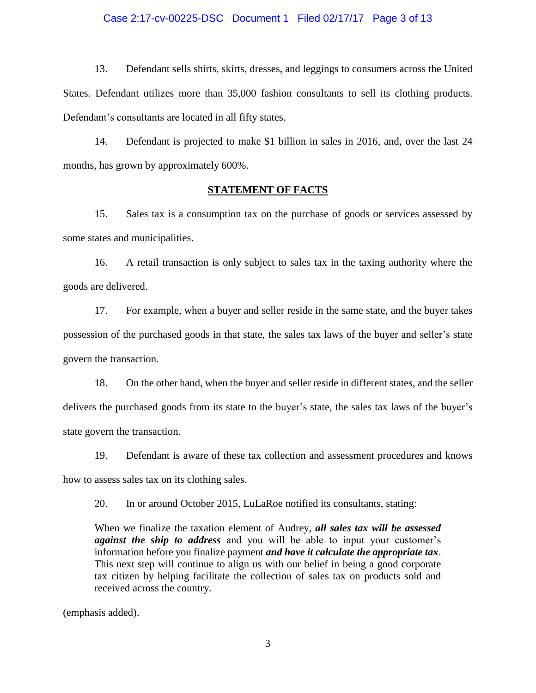#### Case 2:17-cv-00225-DSC Document 1 Filed 02/17/17 Page 3 of 13

13. Defendant sells shirts, skirts, dresses, and leggings to consumers across the United States. Defendant utilizes more than 35,000 fashion consultants to sell its clothing products. Defendant's consultants are located in all fifty states.

14. Defendant is projected to make \$1 billion in sales in 2016, and, over the last 24 months, has grown by approximately 600%.

#### **STATEMENT OF FACTS**

15. Sales tax is a consumption tax on the purchase of goods or services assessed by some states and municipalities.

16. A retail transaction is only subject to sales tax in the taxing authority where the goods are delivered.

17. For example, when a buyer and seller reside in the same state, and the buyer takes possession of the purchased goods in that state, the sales tax laws of the buyer and seller's state govern the transaction.

18. On the other hand, when the buyer and seller reside in different states, and the seller delivers the purchased goods from its state to the buyer's state, the sales tax laws of the buyer's state govern the transaction.

19. Defendant is aware of these tax collection and assessment procedures and knows how to assess sales tax on its clothing sales.

20. In or around October 2015, LuLaRoe notified its consultants, stating:

When we finalize the taxation element of Audrey, *all sales tax will be assessed against the ship to address* and you will be able to input your customer's information before you finalize payment *and have it calculate the appropriate tax*. This next step will continue to align us with our belief in being a good corporate tax citizen by helping facilitate the collection of sales tax on products sold and received across the country.

(emphasis added).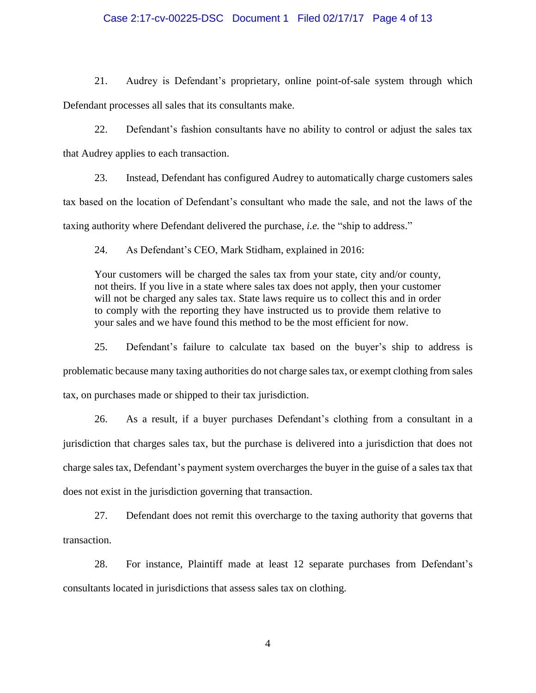#### Case 2:17-cv-00225-DSC Document 1 Filed 02/17/17 Page 4 of 13

21. Audrey is Defendant's proprietary, online point-of-sale system through which Defendant processes all sales that its consultants make.

22. Defendant's fashion consultants have no ability to control or adjust the sales tax that Audrey applies to each transaction.

23. Instead, Defendant has configured Audrey to automatically charge customers sales tax based on the location of Defendant's consultant who made the sale, and not the laws of the taxing authority where Defendant delivered the purchase, *i.e.* the "ship to address."

24. As Defendant's CEO, Mark Stidham, explained in 2016:

Your customers will be charged the sales tax from your state, city and/or county, not theirs. If you live in a state where sales tax does not apply, then your customer will not be charged any sales tax. State laws require us to collect this and in order to comply with the reporting they have instructed us to provide them relative to your sales and we have found this method to be the most efficient for now.

25. Defendant's failure to calculate tax based on the buyer's ship to address is problematic because many taxing authorities do not charge sales tax, or exempt clothing from sales tax, on purchases made or shipped to their tax jurisdiction.

26. As a result, if a buyer purchases Defendant's clothing from a consultant in a jurisdiction that charges sales tax, but the purchase is delivered into a jurisdiction that does not charge sales tax, Defendant's payment system overcharges the buyer in the guise of a sales tax that does not exist in the jurisdiction governing that transaction.

27. Defendant does not remit this overcharge to the taxing authority that governs that transaction.

28. For instance, Plaintiff made at least 12 separate purchases from Defendant's consultants located in jurisdictions that assess sales tax on clothing.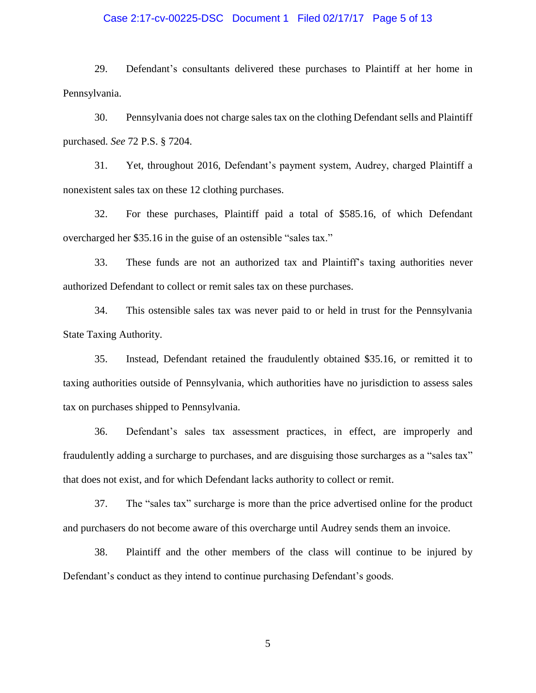#### Case 2:17-cv-00225-DSC Document 1 Filed 02/17/17 Page 5 of 13

29. Defendant's consultants delivered these purchases to Plaintiff at her home in Pennsylvania.

30. Pennsylvania does not charge sales tax on the clothing Defendant sells and Plaintiff purchased. *See* 72 P.S. § 7204.

31. Yet, throughout 2016, Defendant's payment system, Audrey, charged Plaintiff a nonexistent sales tax on these 12 clothing purchases.

32. For these purchases, Plaintiff paid a total of \$585.16, of which Defendant overcharged her \$35.16 in the guise of an ostensible "sales tax."

33. These funds are not an authorized tax and Plaintiff's taxing authorities never authorized Defendant to collect or remit sales tax on these purchases.

34. This ostensible sales tax was never paid to or held in trust for the Pennsylvania State Taxing Authority.

35. Instead, Defendant retained the fraudulently obtained \$35.16, or remitted it to taxing authorities outside of Pennsylvania, which authorities have no jurisdiction to assess sales tax on purchases shipped to Pennsylvania.

36. Defendant's sales tax assessment practices, in effect, are improperly and fraudulently adding a surcharge to purchases, and are disguising those surcharges as a "sales tax" that does not exist, and for which Defendant lacks authority to collect or remit.

37. The "sales tax" surcharge is more than the price advertised online for the product and purchasers do not become aware of this overcharge until Audrey sends them an invoice.

38. Plaintiff and the other members of the class will continue to be injured by Defendant's conduct as they intend to continue purchasing Defendant's goods.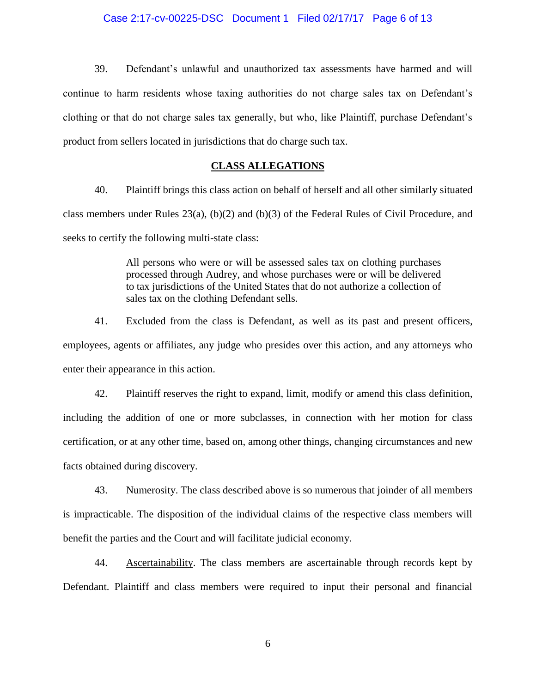# Case 2:17-cv-00225-DSC Document 1 Filed 02/17/17 Page 6 of 13

39. Defendant's unlawful and unauthorized tax assessments have harmed and will continue to harm residents whose taxing authorities do not charge sales tax on Defendant's clothing or that do not charge sales tax generally, but who, like Plaintiff, purchase Defendant's product from sellers located in jurisdictions that do charge such tax.

#### **CLASS ALLEGATIONS**

40. Plaintiff brings this class action on behalf of herself and all other similarly situated class members under Rules 23(a), (b)(2) and (b)(3) of the Federal Rules of Civil Procedure, and seeks to certify the following multi-state class:

> All persons who were or will be assessed sales tax on clothing purchases processed through Audrey, and whose purchases were or will be delivered to tax jurisdictions of the United States that do not authorize a collection of sales tax on the clothing Defendant sells.

41. Excluded from the class is Defendant, as well as its past and present officers, employees, agents or affiliates, any judge who presides over this action, and any attorneys who enter their appearance in this action.

42. Plaintiff reserves the right to expand, limit, modify or amend this class definition, including the addition of one or more subclasses, in connection with her motion for class certification, or at any other time, based on, among other things, changing circumstances and new facts obtained during discovery.

43. Numerosity. The class described above is so numerous that joinder of all members is impracticable. The disposition of the individual claims of the respective class members will benefit the parties and the Court and will facilitate judicial economy.

44. Ascertainability. The class members are ascertainable through records kept by Defendant. Plaintiff and class members were required to input their personal and financial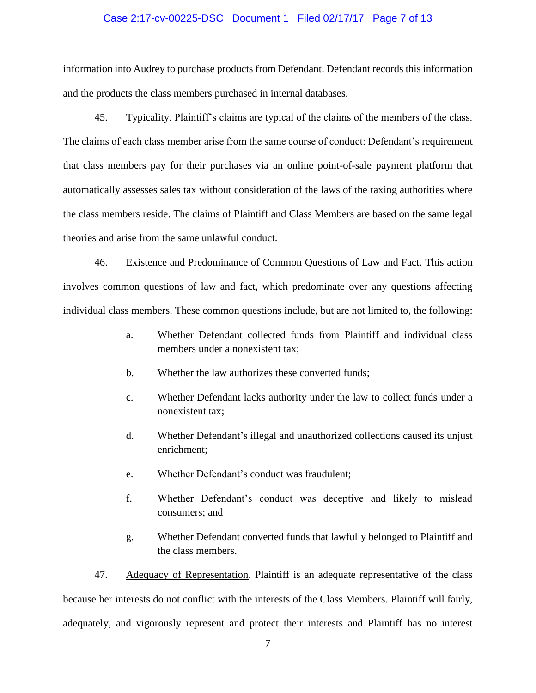#### Case 2:17-cv-00225-DSC Document 1 Filed 02/17/17 Page 7 of 13

information into Audrey to purchase products from Defendant. Defendant records this information and the products the class members purchased in internal databases.

45. Typicality. Plaintiff's claims are typical of the claims of the members of the class. The claims of each class member arise from the same course of conduct: Defendant's requirement that class members pay for their purchases via an online point-of-sale payment platform that automatically assesses sales tax without consideration of the laws of the taxing authorities where the class members reside. The claims of Plaintiff and Class Members are based on the same legal theories and arise from the same unlawful conduct.

46. Existence and Predominance of Common Questions of Law and Fact. This action involves common questions of law and fact, which predominate over any questions affecting individual class members. These common questions include, but are not limited to, the following:

- a. Whether Defendant collected funds from Plaintiff and individual class members under a nonexistent tax;
- b. Whether the law authorizes these converted funds;
- c. Whether Defendant lacks authority under the law to collect funds under a nonexistent tax;
- d. Whether Defendant's illegal and unauthorized collections caused its unjust enrichment;
- e. Whether Defendant's conduct was fraudulent;
- f. Whether Defendant's conduct was deceptive and likely to mislead consumers; and
- g. Whether Defendant converted funds that lawfully belonged to Plaintiff and the class members.

47. Adequacy of Representation. Plaintiff is an adequate representative of the class because her interests do not conflict with the interests of the Class Members. Plaintiff will fairly, adequately, and vigorously represent and protect their interests and Plaintiff has no interest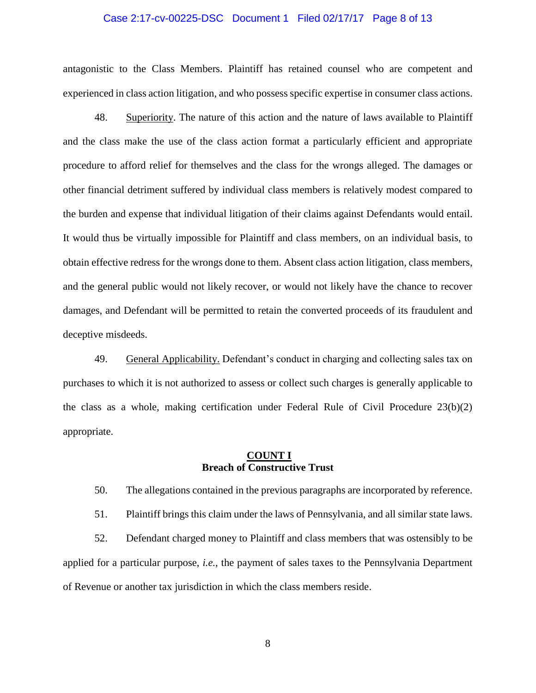#### Case 2:17-cv-00225-DSC Document 1 Filed 02/17/17 Page 8 of 13

antagonistic to the Class Members. Plaintiff has retained counsel who are competent and experienced in class action litigation, and who possess specific expertise in consumer class actions.

48. Superiority. The nature of this action and the nature of laws available to Plaintiff and the class make the use of the class action format a particularly efficient and appropriate procedure to afford relief for themselves and the class for the wrongs alleged. The damages or other financial detriment suffered by individual class members is relatively modest compared to the burden and expense that individual litigation of their claims against Defendants would entail. It would thus be virtually impossible for Plaintiff and class members, on an individual basis, to obtain effective redress for the wrongs done to them. Absent class action litigation, class members, and the general public would not likely recover, or would not likely have the chance to recover damages, and Defendant will be permitted to retain the converted proceeds of its fraudulent and deceptive misdeeds.

49. General Applicability. Defendant's conduct in charging and collecting sales tax on purchases to which it is not authorized to assess or collect such charges is generally applicable to the class as a whole, making certification under Federal Rule of Civil Procedure 23(b)(2) appropriate.

#### **COUNT I Breach of Constructive Trust**

50. The allegations contained in the previous paragraphs are incorporated by reference.

51. Plaintiff brings this claim under the laws of Pennsylvania, and all similar state laws.

52. Defendant charged money to Plaintiff and class members that was ostensibly to be applied for a particular purpose, *i.e.*, the payment of sales taxes to the Pennsylvania Department of Revenue or another tax jurisdiction in which the class members reside.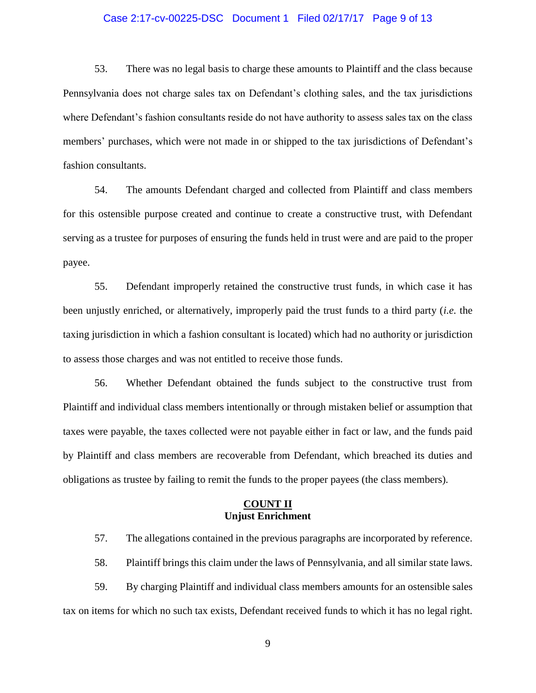#### Case 2:17-cv-00225-DSC Document 1 Filed 02/17/17 Page 9 of 13

53. There was no legal basis to charge these amounts to Plaintiff and the class because Pennsylvania does not charge sales tax on Defendant's clothing sales, and the tax jurisdictions where Defendant's fashion consultants reside do not have authority to assess sales tax on the class members' purchases, which were not made in or shipped to the tax jurisdictions of Defendant's fashion consultants.

54. The amounts Defendant charged and collected from Plaintiff and class members for this ostensible purpose created and continue to create a constructive trust, with Defendant serving as a trustee for purposes of ensuring the funds held in trust were and are paid to the proper payee.

55. Defendant improperly retained the constructive trust funds, in which case it has been unjustly enriched, or alternatively, improperly paid the trust funds to a third party (*i.e.* the taxing jurisdiction in which a fashion consultant is located) which had no authority or jurisdiction to assess those charges and was not entitled to receive those funds.

56. Whether Defendant obtained the funds subject to the constructive trust from Plaintiff and individual class members intentionally or through mistaken belief or assumption that taxes were payable, the taxes collected were not payable either in fact or law, and the funds paid by Plaintiff and class members are recoverable from Defendant, which breached its duties and obligations as trustee by failing to remit the funds to the proper payees (the class members).

### **COUNT II Unjust Enrichment**

57. The allegations contained in the previous paragraphs are incorporated by reference.

58. Plaintiff brings this claim under the laws of Pennsylvania, and all similar state laws.

59. By charging Plaintiff and individual class members amounts for an ostensible sales tax on items for which no such tax exists, Defendant received funds to which it has no legal right.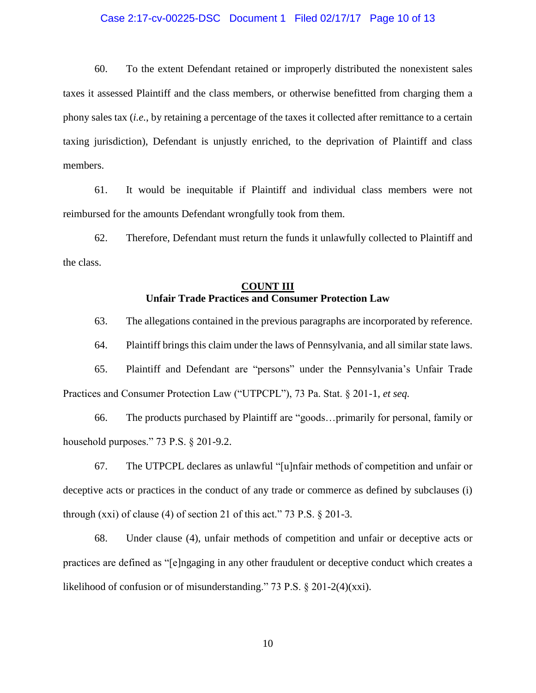#### Case 2:17-cv-00225-DSC Document 1 Filed 02/17/17 Page 10 of 13

60. To the extent Defendant retained or improperly distributed the nonexistent sales taxes it assessed Plaintiff and the class members, or otherwise benefitted from charging them a phony sales tax (*i.e.*, by retaining a percentage of the taxes it collected after remittance to a certain taxing jurisdiction), Defendant is unjustly enriched, to the deprivation of Plaintiff and class members.

61. It would be inequitable if Plaintiff and individual class members were not reimbursed for the amounts Defendant wrongfully took from them.

62. Therefore, Defendant must return the funds it unlawfully collected to Plaintiff and the class.

# **COUNT III Unfair Trade Practices and Consumer Protection Law**

63. The allegations contained in the previous paragraphs are incorporated by reference.

64. Plaintiff brings this claim under the laws of Pennsylvania, and all similar state laws.

65. Plaintiff and Defendant are "persons" under the Pennsylvania's Unfair Trade Practices and Consumer Protection Law ("UTPCPL"), 73 Pa. Stat. § 201-1, *et seq.*

66. The products purchased by Plaintiff are "goods…primarily for personal, family or household purposes." 73 P.S. § 201-9.2.

67. The UTPCPL declares as unlawful "[u]nfair methods of competition and unfair or deceptive acts or practices in the conduct of any trade or commerce as defined by subclauses (i) through  $(xxi)$  of clause (4) of section 21 of this act." 73 P.S.  $\S$  201-3.

68. Under clause (4), unfair methods of competition and unfair or deceptive acts or practices are defined as "[e]ngaging in any other fraudulent or deceptive conduct which creates a likelihood of confusion or of misunderstanding." 73 P.S. § 201-2(4)(xxi).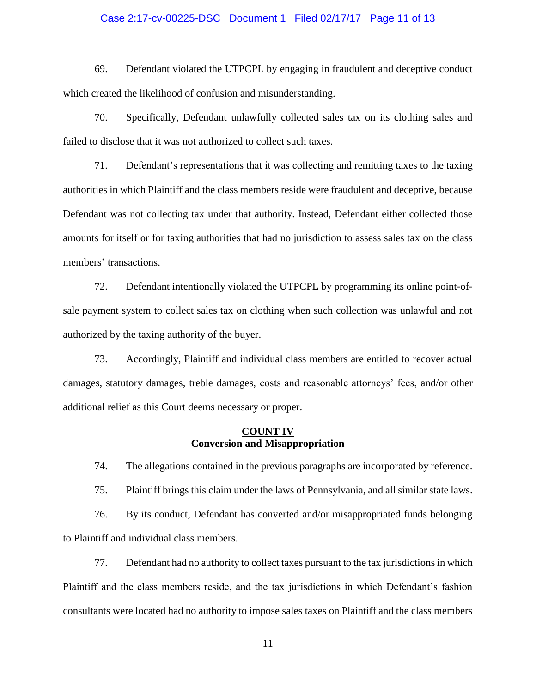#### Case 2:17-cv-00225-DSC Document 1 Filed 02/17/17 Page 11 of 13

69. Defendant violated the UTPCPL by engaging in fraudulent and deceptive conduct which created the likelihood of confusion and misunderstanding.

70. Specifically, Defendant unlawfully collected sales tax on its clothing sales and failed to disclose that it was not authorized to collect such taxes.

71. Defendant's representations that it was collecting and remitting taxes to the taxing authorities in which Plaintiff and the class members reside were fraudulent and deceptive, because Defendant was not collecting tax under that authority. Instead, Defendant either collected those amounts for itself or for taxing authorities that had no jurisdiction to assess sales tax on the class members' transactions.

72. Defendant intentionally violated the UTPCPL by programming its online point-ofsale payment system to collect sales tax on clothing when such collection was unlawful and not authorized by the taxing authority of the buyer.

73. Accordingly, Plaintiff and individual class members are entitled to recover actual damages, statutory damages, treble damages, costs and reasonable attorneys' fees, and/or other additional relief as this Court deems necessary or proper.

#### **COUNT IV Conversion and Misappropriation**

74. The allegations contained in the previous paragraphs are incorporated by reference.

75. Plaintiff brings this claim under the laws of Pennsylvania, and all similar state laws.

76. By its conduct, Defendant has converted and/or misappropriated funds belonging to Plaintiff and individual class members.

77. Defendant had no authority to collect taxes pursuant to the tax jurisdictions in which Plaintiff and the class members reside, and the tax jurisdictions in which Defendant's fashion consultants were located had no authority to impose sales taxes on Plaintiff and the class members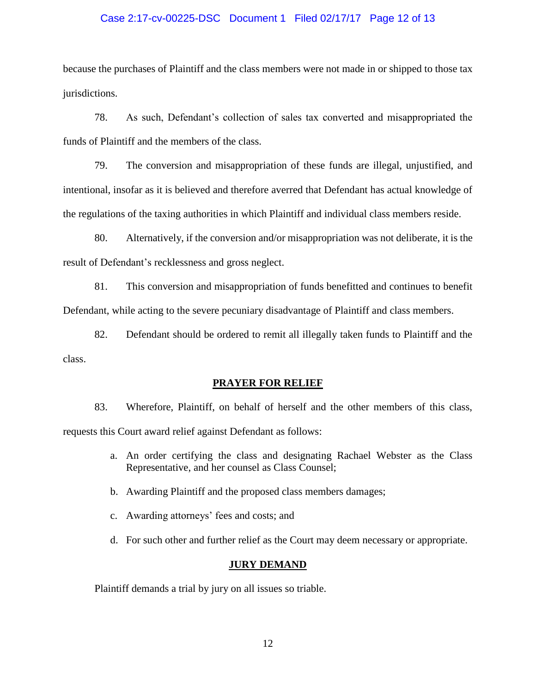#### Case 2:17-cv-00225-DSC Document 1 Filed 02/17/17 Page 12 of 13

because the purchases of Plaintiff and the class members were not made in or shipped to those tax jurisdictions.

78. As such, Defendant's collection of sales tax converted and misappropriated the funds of Plaintiff and the members of the class.

79. The conversion and misappropriation of these funds are illegal, unjustified, and intentional, insofar as it is believed and therefore averred that Defendant has actual knowledge of the regulations of the taxing authorities in which Plaintiff and individual class members reside.

80. Alternatively, if the conversion and/or misappropriation was not deliberate, it is the result of Defendant's recklessness and gross neglect.

81. This conversion and misappropriation of funds benefitted and continues to benefit Defendant, while acting to the severe pecuniary disadvantage of Plaintiff and class members.

82. Defendant should be ordered to remit all illegally taken funds to Plaintiff and the class.

#### **PRAYER FOR RELIEF**

83. Wherefore, Plaintiff, on behalf of herself and the other members of this class, requests this Court award relief against Defendant as follows:

- a. An order certifying the class and designating Rachael Webster as the Class Representative, and her counsel as Class Counsel;
- b. Awarding Plaintiff and the proposed class members damages;
- c. Awarding attorneys' fees and costs; and
- d. For such other and further relief as the Court may deem necessary or appropriate.

### **JURY DEMAND**

Plaintiff demands a trial by jury on all issues so triable.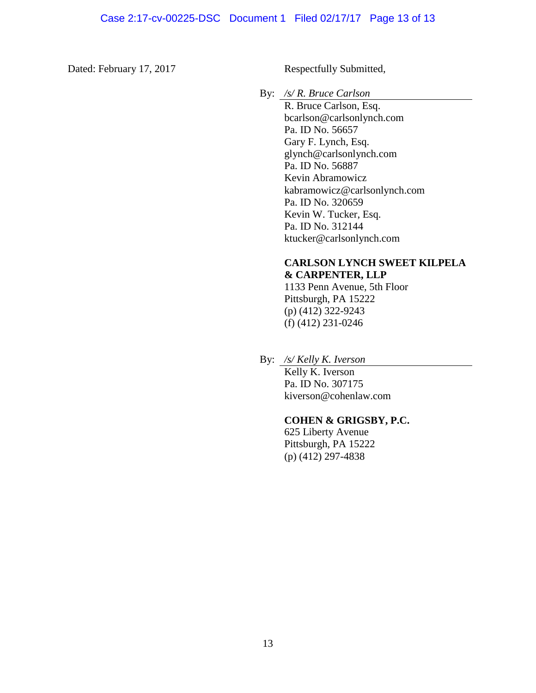Dated: February 17, 2017

Respectfully Submitted,

By: */s/ R. Bruce Carlson*

R. Bruce Carlson, Esq. bcarlson@carlsonlynch.com Pa. ID No. 56657 Gary F. Lynch, Esq. glynch@carlsonlynch.com Pa. ID No. 56887 Kevin Abramowicz kabramowicz@carlsonlynch.com Pa. ID No. 320659 Kevin W. Tucker, Esq. Pa. ID No. 312144 ktucker@carlsonlynch.com

# **CARLSON LYNCH SWEET KILPELA & CARPENTER, LLP**

1133 Penn Avenue, 5th Floor Pittsburgh, PA 15222 (p) (412) 322-9243 (f) (412) 231-0246

By: */s/ Kelly K. Iverson*

Kelly K. Iverson Pa. ID No. 307175 kiverson@cohenlaw.com

#### **COHEN & GRIGSBY, P.C.**

625 Liberty Avenue Pittsburgh, PA 15222 (p) (412) 297-4838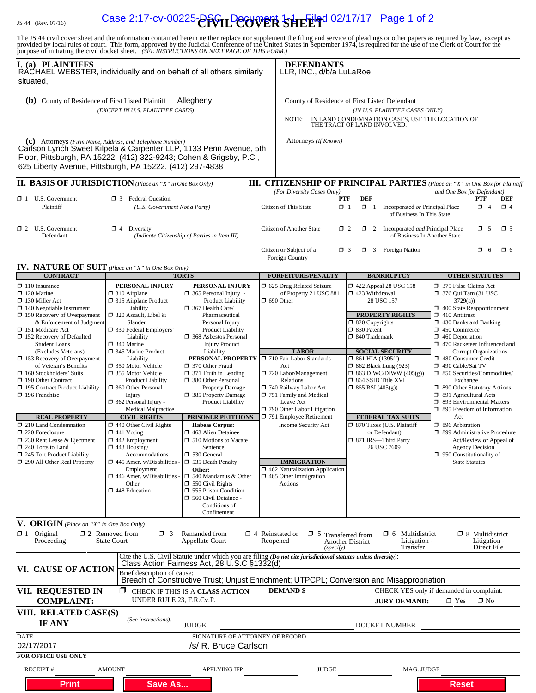# IS 44 (Rev. 07/16) **Case 2:17-cv-00225-AFVIL Decument 1-1 Eiled 02/17/17** Page 1 of 2

The JS 44 civil cover sheet and the information contained herein neither replace nor supplement the filing and service of pleadings or other papers as required by law, except as provided by local rules of court. This form,

| I. (a) PLAINTIFFS<br>RACHAEL WEBSTER, individually and on behalf of all others similarly<br>situated.                                                                                                                                                                                                                                                                                                                                                        |                                                                                                                                                                                                                                                                                                                                                                                       |                                                                                                                                                                                                                                                                                                                                                                                             |                                                                                                                                                                                                                                                                | <b>DEFENDANTS</b><br>LLR, INC., d/b/a LuLaRoe                                                                                                                                                                                                                                                                             |                                                                                                                                                                                                                                                                                                                                                                                                                                                                                                                                                                                                                                                                                          |  |  |  |
|--------------------------------------------------------------------------------------------------------------------------------------------------------------------------------------------------------------------------------------------------------------------------------------------------------------------------------------------------------------------------------------------------------------------------------------------------------------|---------------------------------------------------------------------------------------------------------------------------------------------------------------------------------------------------------------------------------------------------------------------------------------------------------------------------------------------------------------------------------------|---------------------------------------------------------------------------------------------------------------------------------------------------------------------------------------------------------------------------------------------------------------------------------------------------------------------------------------------------------------------------------------------|----------------------------------------------------------------------------------------------------------------------------------------------------------------------------------------------------------------------------------------------------------------|---------------------------------------------------------------------------------------------------------------------------------------------------------------------------------------------------------------------------------------------------------------------------------------------------------------------------|------------------------------------------------------------------------------------------------------------------------------------------------------------------------------------------------------------------------------------------------------------------------------------------------------------------------------------------------------------------------------------------------------------------------------------------------------------------------------------------------------------------------------------------------------------------------------------------------------------------------------------------------------------------------------------------|--|--|--|
| (b) County of Residence of First Listed Plaintiff                                                                                                                                                                                                                                                                                                                                                                                                            | (EXCEPT IN U.S. PLAINTIFF CASES)                                                                                                                                                                                                                                                                                                                                                      | Allegheny                                                                                                                                                                                                                                                                                                                                                                                   | County of Residence of First Listed Defendant<br>(IN U.S. PLAINTIFF CASES ONLY)<br>IN LAND CONDEMNATION CASES, USE THE LOCATION OF<br>NOTE:<br>THE TRACT OF LAND INVOLVED.                                                                                     |                                                                                                                                                                                                                                                                                                                           |                                                                                                                                                                                                                                                                                                                                                                                                                                                                                                                                                                                                                                                                                          |  |  |  |
| (c) Attorneys (Firm Name, Address, and Telephone Number)<br>Carlson Lynch Sweet Kilpela & Carpenter LLP, 1133 Penn Avenue, 5th<br>Floor, Pittsburgh, PA 15222, (412) 322-9243; Cohen & Grigsby, P.C.,<br>625 Liberty Avenue, Pittsburgh, PA 15222, (412) 297-4838                                                                                                                                                                                            |                                                                                                                                                                                                                                                                                                                                                                                       |                                                                                                                                                                                                                                                                                                                                                                                             | Attorneys (If Known)                                                                                                                                                                                                                                           |                                                                                                                                                                                                                                                                                                                           |                                                                                                                                                                                                                                                                                                                                                                                                                                                                                                                                                                                                                                                                                          |  |  |  |
| <b>II. BASIS OF JURISDICTION</b> (Place an "X" in One Box Only)                                                                                                                                                                                                                                                                                                                                                                                              |                                                                                                                                                                                                                                                                                                                                                                                       |                                                                                                                                                                                                                                                                                                                                                                                             | <b>III. CITIZENSHIP OF PRINCIPAL PARTIES</b> (Place an "X" in One Box for Plaintiff                                                                                                                                                                            |                                                                                                                                                                                                                                                                                                                           |                                                                                                                                                                                                                                                                                                                                                                                                                                                                                                                                                                                                                                                                                          |  |  |  |
| $\Box$ 1 U.S. Government<br>Plaintiff                                                                                                                                                                                                                                                                                                                                                                                                                        | <b>3</b> Federal Question<br>(U.S. Government Not a Party)                                                                                                                                                                                                                                                                                                                            |                                                                                                                                                                                                                                                                                                                                                                                             | (For Diversity Cases Only)<br>and One Box for Defendant)<br><b>DEF</b><br>PTF<br>PTF<br>DEF<br>$\mathbb{X}$ 1<br>$\Box$ 1<br>Citizen of This State<br>Incorporated or Principal Place<br>$\Box$ 4<br>$\Box$ 4<br>of Business In This State                     |                                                                                                                                                                                                                                                                                                                           |                                                                                                                                                                                                                                                                                                                                                                                                                                                                                                                                                                                                                                                                                          |  |  |  |
| $\Box$ 2 U.S. Government<br>Defendant                                                                                                                                                                                                                                                                                                                                                                                                                        | $\mathbf{M}$ 4 Diversity<br>(Indicate Citizenship of Parties in Item III)                                                                                                                                                                                                                                                                                                             |                                                                                                                                                                                                                                                                                                                                                                                             | Citizen of Another State                                                                                                                                                                                                                                       | $\mathbf{\times}$ 5<br>$\Box$ 5<br>$\Box$ 2<br>$\Box$ 2 Incorporated <i>and</i> Principal Place<br>of Business In Another State<br>$\Box$ 3 Foreign Nation<br>$\Box$ 3<br>$\Box$ 6<br>$\Box$ 6                                                                                                                            |                                                                                                                                                                                                                                                                                                                                                                                                                                                                                                                                                                                                                                                                                          |  |  |  |
|                                                                                                                                                                                                                                                                                                                                                                                                                                                              |                                                                                                                                                                                                                                                                                                                                                                                       |                                                                                                                                                                                                                                                                                                                                                                                             | Citizen or Subject of a<br>Foreign Country                                                                                                                                                                                                                     |                                                                                                                                                                                                                                                                                                                           |                                                                                                                                                                                                                                                                                                                                                                                                                                                                                                                                                                                                                                                                                          |  |  |  |
| IV. NATURE OF SUIT (Place an "X" in One Box Only)<br><b>CONTRACT</b>                                                                                                                                                                                                                                                                                                                                                                                         |                                                                                                                                                                                                                                                                                                                                                                                       | <b>TORTS</b>                                                                                                                                                                                                                                                                                                                                                                                | <b>FORFEITURE/PENALTY</b>                                                                                                                                                                                                                                      | <b>BANKRUPTCY</b>                                                                                                                                                                                                                                                                                                         | <b>OTHER STATUTES</b>                                                                                                                                                                                                                                                                                                                                                                                                                                                                                                                                                                                                                                                                    |  |  |  |
| $\Box$ 110 Insurance<br>$\Box$ 120 Marine<br>$\Box$ 130 Miller Act<br>$\Box$ 140 Negotiable Instrument<br>$\Box$ 150 Recovery of Overpayment<br>& Enforcement of Judgment<br>151 Medicare Act<br>152 Recovery of Defaulted<br><b>Student Loans</b><br>(Excludes Veterans)<br>$\Box$ 153 Recovery of Overpayment<br>of Veteran's Benefits<br>$\Box$ 160 Stockholders' Suits<br>190 Other Contract<br>□ 195 Contract Product Liability<br>$\Box$ 196 Franchise | PERSONAL INJURY<br>$\Box$ 310 Airplane<br>315 Airplane Product<br>Liability<br>$\Box$ 320 Assault, Libel &<br>Slander<br>330 Federal Employers'<br>Liability<br>$\Box$ 340 Marine<br>345 Marine Product<br>Liability<br>□ 350 Motor Vehicle<br>□ 355 Motor Vehicle<br><b>Product Liability</b><br>360 Other Personal<br>Injury<br>362 Personal Injury -<br><b>Medical Malpractice</b> | PERSONAL INJURY<br>$\Box$ 365 Personal Injury -<br>Product Liability<br>367 Health Care/<br>Pharmaceutical<br>Personal Injury<br><b>Product Liability</b><br><b>368</b> Asbestos Personal<br><b>Injury Product</b><br>Liability<br>PERSONAL PROPERTY<br>370 Other Fraud<br>$\Box$ 371 Truth in Lending<br>380 Other Personal<br>Property Damage<br>385 Property Damage<br>Product Liability | 5 625 Drug Related Seizure<br>of Property 21 USC 881<br>$\Box$ 690 Other<br><b>LABOR</b><br>710 Fair Labor Standards<br>Act<br>720 Labor/Management<br>Relations<br>740 Railway Labor Act<br>751 Family and Medical<br>Leave Act<br>790 Other Labor Litigation | $\Box$ 422 Appeal 28 USC 158<br>□ 423 Withdrawal<br>28 USC 157<br><b>PROPERTY RIGHTS</b><br>$\Box$ 820 Copyrights<br>30 Patent<br>□ 840 Trademark<br><b>SOCIAL SECURITY</b><br>$\Box$ 861 HIA (1395ff)<br>$\Box$ 862 Black Lung (923)<br>$\Box$ 863 DIWC/DIWW (405(g))<br>□ 864 SSID Title XVI<br>$\Box$ 865 RSI (405(g)) | □ 375 False Claims Act<br>$\Box$ 376 Qui Tam (31 USC)<br>3729(a)<br>$\Box$ 400 State Reapportionment<br>$\Box$ 410 Antitrust<br>$\Box$ 430 Banks and Banking<br>$\Box$ 450 Commerce<br>$\Box$ 460 Deportation<br>□ 470 Racketeer Influenced and<br><b>Corrupt Organizations</b><br>480 Consumer Credit<br>490 Cable/Sat TV<br>50 Securities/Commodities/<br>Exchange<br>□ 890 Other Statutory Actions<br>$\Box$ 891 Agricultural Acts<br>□ 893 Environmental Matters<br>$\Box$ 895 Freedom of Information<br>Act<br>□ 896 Arbitration<br>□ 899 Administrative Procedure<br>Act/Review or Appeal of<br><b>Agency Decision</b><br>$\Box$ 950 Constitutionality of<br><b>State Statutes</b> |  |  |  |
| <b>REAL PROPERTY</b><br>$\Box$ 210 Land Condemnation<br>$\Box$ 220 Foreclosure<br>$\Box$ 230 Rent Lease & Ejectment<br>$\Box$ 240 Torts to Land<br>245 Tort Product Liability<br>290 All Other Real Property                                                                                                                                                                                                                                                 | <b>CIVIL RIGHTS</b><br>$\Box$ 440 Other Civil Rights<br>$\Box$ 441 Voting<br>$\Box$ 442 Employment<br>$\Box$ 443 Housing/<br>Accommodations<br>$\Box$ 445 Amer. w/Disabilities<br>Employment<br>$\Box$ 446 Amer. w/Disabilities<br>Other<br>448 Education                                                                                                                             | <b>PRISONER PETITIONS</b><br><b>Habeas Corpus:</b><br>463 Alien Detainee<br>$\Box$ 510 Motions to Vacate<br>Sentence<br>530 General<br>535 Death Penalty<br>Other:<br>$\Box$ 540 Mandamus & Other<br>$\Box$ 550 Civil Rights<br>555 Prison Condition<br>560 Civil Detainee -<br>Conditions of<br>Confinement                                                                                | 791 Employee Retirement<br>Income Security Act<br><b>IMMIGRATION</b><br>$\Box$ 462 Naturalization Application<br>$\Box$ 465 Other Immigration<br>Actions                                                                                                       | <b>FEDERAL TAX SUITS</b><br>□ 870 Taxes (U.S. Plaintiff<br>or Defendant)<br>□ 871 IRS-Third Party<br>26 USC 7609                                                                                                                                                                                                          |                                                                                                                                                                                                                                                                                                                                                                                                                                                                                                                                                                                                                                                                                          |  |  |  |
| V. ORIGIN (Place an "X" in One Box Only)<br>$\mathbf{X}$ 1 Original<br>Proceeding                                                                                                                                                                                                                                                                                                                                                                            | $\Box$ 2 Removed from<br>$\Box$ 3<br><b>State Court</b>                                                                                                                                                                                                                                                                                                                               | Remanded from<br><b>Appellate Court</b>                                                                                                                                                                                                                                                                                                                                                     | $\Box$ 4 Reinstated or<br>$\Box$ 5 Transferred from<br>Reopened<br>(specify)                                                                                                                                                                                   | $\Box$ 6 Multidistrict<br>Litigation -<br>Another District<br>Transfer                                                                                                                                                                                                                                                    | $\Box$ 8 Multidistrict<br>Litigation -<br>Direct File                                                                                                                                                                                                                                                                                                                                                                                                                                                                                                                                                                                                                                    |  |  |  |
| VI. CAUSE OF ACTION                                                                                                                                                                                                                                                                                                                                                                                                                                          | Brief description of cause:                                                                                                                                                                                                                                                                                                                                                           | Class Action Fairness Act, 28 U.S.C §1332(d)                                                                                                                                                                                                                                                                                                                                                | Cite the U.S. Civil Statute under which you are filing (Do not cite jurisdictional statutes unless diversity):<br>Breach of Constructive Trust; Unjust Enrichment; UTPCPL; Conversion and Misappropriation                                                     |                                                                                                                                                                                                                                                                                                                           |                                                                                                                                                                                                                                                                                                                                                                                                                                                                                                                                                                                                                                                                                          |  |  |  |
| VII. REQUESTED IN<br><b>COMPLAINT:</b>                                                                                                                                                                                                                                                                                                                                                                                                                       | ⊠<br>UNDER RULE 23, F.R.Cv.P.                                                                                                                                                                                                                                                                                                                                                         | CHECK IF THIS IS A CLASS ACTION                                                                                                                                                                                                                                                                                                                                                             | <b>DEMAND</b> \$                                                                                                                                                                                                                                               | <b>JURY DEMAND:</b>                                                                                                                                                                                                                                                                                                       | CHECK YES only if demanded in complaint:<br>X Yes<br>$\square$ No                                                                                                                                                                                                                                                                                                                                                                                                                                                                                                                                                                                                                        |  |  |  |
| VIII. RELATED CASE(S)<br><b>IF ANY</b>                                                                                                                                                                                                                                                                                                                                                                                                                       | (See instructions):                                                                                                                                                                                                                                                                                                                                                                   | <b>JUDGE</b>                                                                                                                                                                                                                                                                                                                                                                                |                                                                                                                                                                                                                                                                | DOCKET NUMBER                                                                                                                                                                                                                                                                                                             |                                                                                                                                                                                                                                                                                                                                                                                                                                                                                                                                                                                                                                                                                          |  |  |  |
| <b>DATE</b><br>02/17/2017<br><b>FOR OFFICE USE ONLY</b>                                                                                                                                                                                                                                                                                                                                                                                                      |                                                                                                                                                                                                                                                                                                                                                                                       | SIGNATURE OF ATTORNEY OF RECORD<br>/s/ R. Bruce Carlson                                                                                                                                                                                                                                                                                                                                     |                                                                                                                                                                                                                                                                |                                                                                                                                                                                                                                                                                                                           |                                                                                                                                                                                                                                                                                                                                                                                                                                                                                                                                                                                                                                                                                          |  |  |  |
| <b>RECEIPT#</b>                                                                                                                                                                                                                                                                                                                                                                                                                                              | <b>AMOUNT</b>                                                                                                                                                                                                                                                                                                                                                                         | <b>APPLYING IFP</b>                                                                                                                                                                                                                                                                                                                                                                         | <b>JUDGE</b>                                                                                                                                                                                                                                                   | MAG. JUDGE                                                                                                                                                                                                                                                                                                                |                                                                                                                                                                                                                                                                                                                                                                                                                                                                                                                                                                                                                                                                                          |  |  |  |
| <b>Print</b>                                                                                                                                                                                                                                                                                                                                                                                                                                                 | <b>Save As</b>                                                                                                                                                                                                                                                                                                                                                                        |                                                                                                                                                                                                                                                                                                                                                                                             |                                                                                                                                                                                                                                                                |                                                                                                                                                                                                                                                                                                                           | <b>Reset</b>                                                                                                                                                                                                                                                                                                                                                                                                                                                                                                                                                                                                                                                                             |  |  |  |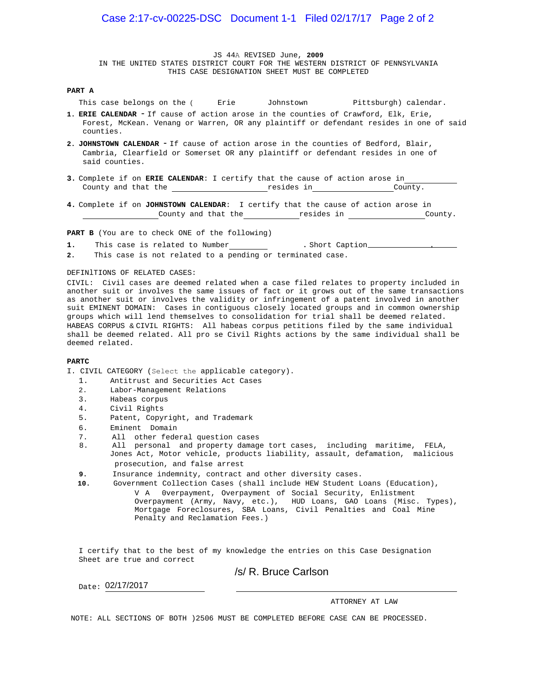JS 44A REVISED June, **2009**  IN THE UNITED STATES DISTRICT COURT FOR THE WESTERN DISTRICT OF PENNSYLVANIA THIS CASE DESIGNATION SHEET MUST BE COMPLETED

#### **PART A**

This case belongs on the (  $\bigcirc$  Erie  $\bigcirc$  Johnstown  $\bigcirc$  Pittsburgh) calendar.

- **1. ERIE CALENDAR** If cause of action arose in the counties of Crawford, Elk, Erie, Forest, McKean. Venang or Warren, OR any plaintiff or defendant resides in one of said counties.
- **2. JOHNSTOWN CALENDAR** If cause of action arose in the counties of Bedford, Blair, Cambria, Clearfield or Somerset OR any plaintiff or defendant resides in one of said counties.
- **3.** Complete if on **ERIE CALENDAR**: I certify that the cause of action arose in County and that the **resides in County.** County.
- **4.** Complete if on **JOHNSTOWN CALENDAR**: I certify that the cause of action arose in County and that the resides in County.

**PART B** (You are to check ONE of the following)

1. O This case is related to Number 1. Short Caption 2011.

2.  $\odot$  This case is not related to a pending or terminated case.

#### DEFINlTIONS OF RELATED CASES:

CIVIL: Civil cases are deemed related when a case filed relates to property included in another suit or involves the same issues of fact or it grows out of the same transactions as another suit or involves the validity or infringement of a patent involved in another suit EMINENT DOMAIN: Cases in contiguous closely located groups and in common ownership groups which will lend themselves to consolidation for trial shall be deemed related. HABEAS CORPUS & CIVIL RIGHTS: All habeas corpus petitions filed by the same individual shall be deemed related. All pro se Civil Rights actions by the same individual shall be deemed related.

#### **PARTC**

I. CIVIL CATEGORY (Select the applicable category).

- 1.  $\bigcirc$  Antitrust and Securities Act Cases
- 2. O Labor-Management Relations
- 3. Habeas corpus
- 4. O Civil Rights
- 5.  $\overline{O}$  Patent, Copyright, and Trademark
- 
- All other federal question cases
- 6. O Eminent Domain<br>7. O All other fede<br>8. O All personal 8. All personal and property damage tort cases, including maritime, FELA, Jones Act, Motor vehicle, products liability, assault, defamation, malicious prosecution, and false arrest
- **9.** Insurance indemnity, contract and other diversity cases.
- **10.** Government Collection Cases (shall include HEW Student Loans (Education), V A 0verpayment, Overpayment of Social Security, Enlistment Overpayment (Army, Navy, etc.), HUD Loans, GAO Loans (Misc. Types), Mortgage Foreclosures, SBA Loans, Civil Penalties and Coal Mine Penalty and Reclamation Fees.)

I certify that to the best of my knowledge the entries on this Case Designation Sheet are true and correct

#### /s/ R. Bruce Carlson

Date: 02/17/2017

ATTORNEY AT LAW

NOTE: ALL SECTIONS OF BOTH ÔŠÞRU MUST BE COMPLETED BEFORE CASE CAN BE PROCESSED.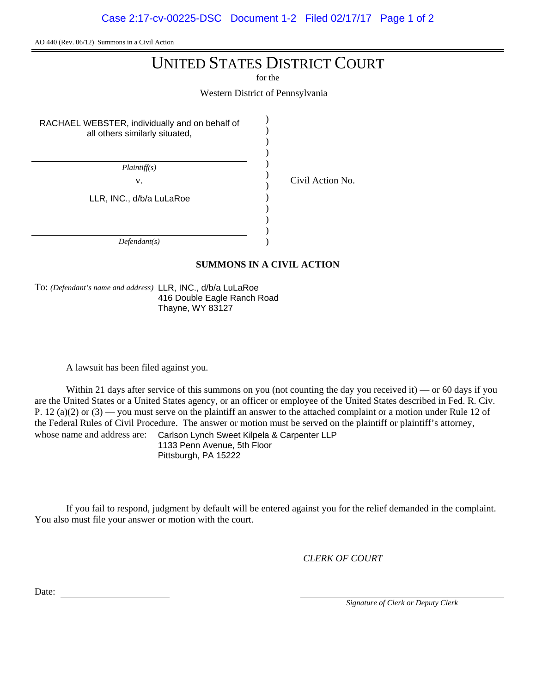AO 440 (Rev. 06/12) Summons in a Civil Action

# UNITED STATES DISTRICT COURT

for the

Western District of Pennsylvania

) ) ) ) ) ) ) ) ) ) ) )

RACHAEL WEBSTER, individually and on behalf of all others similarly situated,

*Plaintiff(s)*

v. Civil Action No.

LLR, INC., d/b/a LuLaRoe

*Defendant(s)*

# **SUMMONS IN A CIVIL ACTION**

To: *(Defendant's name and address)* LLR, INC., d/b/a LuLaRoe 416 Double Eagle Ranch Road Thayne, WY 83127

A lawsuit has been filed against you.

Within 21 days after service of this summons on you (not counting the day you received it) — or 60 days if you are the United States or a United States agency, or an officer or employee of the United States described in Fed. R. Civ. P. 12 (a)(2) or  $(3)$  — you must serve on the plaintiff an answer to the attached complaint or a motion under Rule 12 of the Federal Rules of Civil Procedure. The answer or motion must be served on the plaintiff or plaintiff's attorney, whose name and address are: Carlson Lynch Sweet Kilpela & Carpenter LLP 1133 Penn Avenue, 5th Floor

Pittsburgh, PA 15222

If you fail to respond, judgment by default will be entered against you for the relief demanded in the complaint. You also must file your answer or motion with the court.

*CLERK OF COURT*

Date:

*Signature of Clerk or Deputy Clerk*